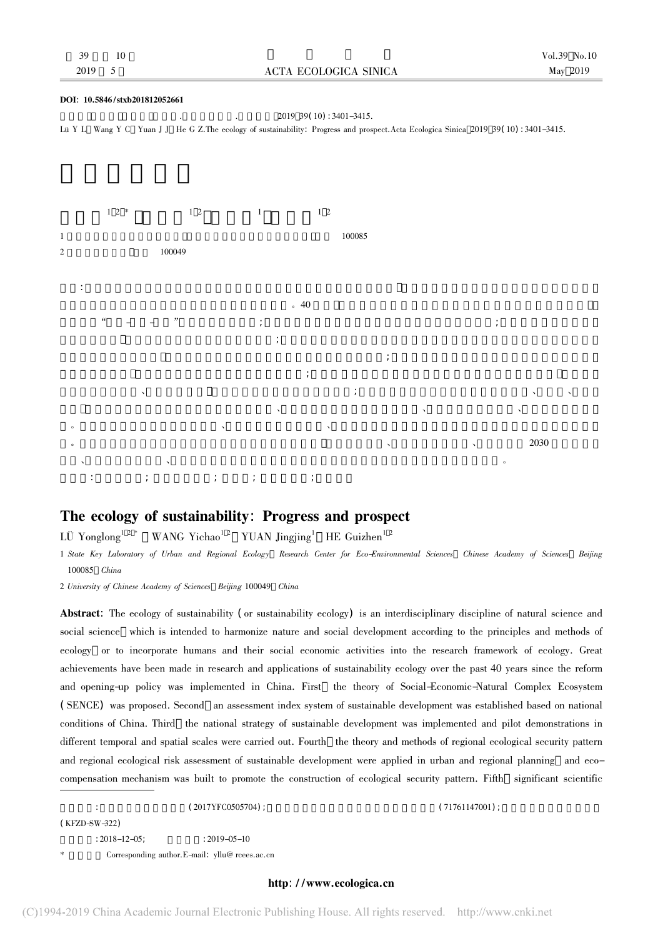#### DOI: 10.5846 /stxb201812052661

#### $2019$  39( 10) : 3401-3415.

Lü Y L Wang Y C Yuan J J He G Z.The ecology of sustainability: Progress and prospect.Acta Ecologica Sinica 2019 39( 10) : 3401-3415.



#### The ecology of sustainability: Progress and prospect

LÜ Yonglong<sup>12\*</sup> WANG Yichao<sup>12</sup> YUAN Jingjing<sup>1</sup> HE Guizhen<sup>12</sup>

1 State Key Laboratory of Urban and Regional Ecology Research Center for Eco-Environmental Sciences Chinese Academy of Sciences Beijing 100085 China

2 University of Chinese Academy of Sciences Beijing 100049 China

Abstract: The ecology of sustainability ( or sustainability ecology) is an interdisciplinary discipline of natural science and social science which is intended to harmonize nature and social development according to the principles and methods of ecology or to incorporate humans and their social economic activities into the research framework of ecology. Great achievements have been made in research and applications of sustainability ecology over the past 40 years since the reform and opening-up policy was implemented in China. First the theory of Social-Economic-Natural Complex Ecosystem ( SENCE) was proposed. Second an assessment index system of sustainable development was established based on national conditions of China. Third the national strategy of sustainable development was implemented and pilot demonstrations in different temporal and spatial scales were carried out. Fourth the theory and methods of regional ecological security pattern and regional ecological risk assessment of sustainable development were applied in urban and regional planning and ecocompensation mechanism was built to promote the construction of ecological security pattern. Fifth significant scientific

 $(2017YFCO505704)$  ;  $(71761147001)$  ; ( KFZD-SW-322)  $: 2018 - 12 - 05$ ;  $: 2019 - 05 - 10$ 

 $Corresponding author.E-mail:$  yllu@ rcees.ac.cn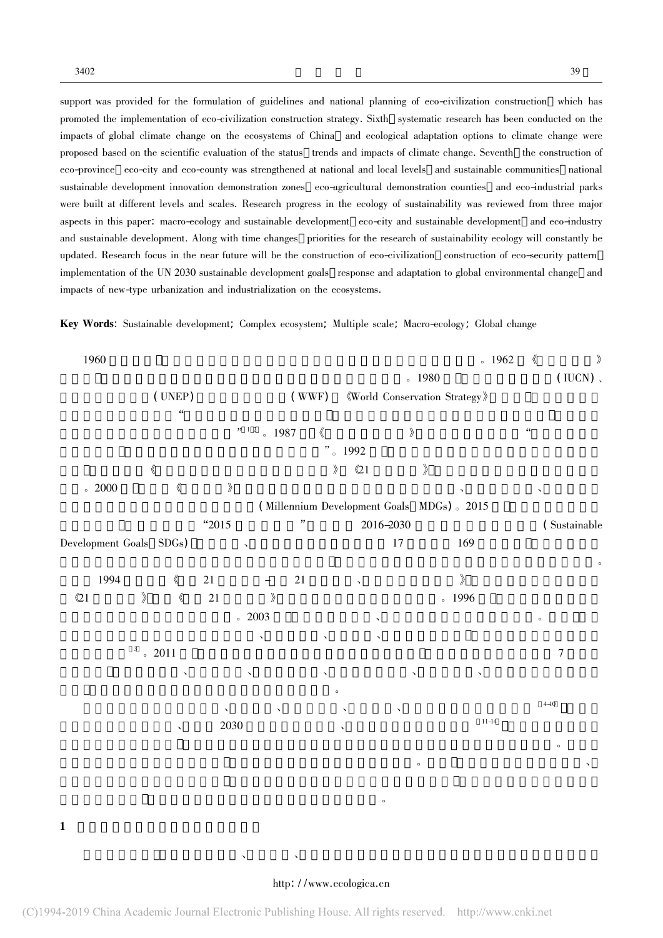$3402$   $39$ 

support was provided for the formulation of guidelines and national planning of eco-civilization construction which has promoted the implementation of eco-civilization construction strategy. Sixth systematic research has been conducted on the impacts of global climate change on the ecosystems of China and ecological adaptation options to climate change were proposed based on the scientific evaluation of the status trends and impacts of climate change. Seventh the construction of eco-province eco-city and eco-county was strengthened at national and local levels and sustainable communities national sustainable development innovation demonstration zones eco-agricultural demonstration counties and eco-industrial parks were built at different levels and scales. Research progress in the ecology of sustainability was reviewed from three major aspects in this paper: macro-ecology and sustainable development eco-city and sustainable development and eco-industry and sustainable development. Along with time changes priorities for the research of sustainability ecology will constantly be updated. Research focus in the near future will be the construction of eco-civilization construction of eco-security pattern implementation of the UN 2030 sustainable development goals response and adaptation to global environmental change and impacts of new-type urbanization and industrialization on the ecosystems.

Key Words: Sustainable development; Complex ecosystem; Multiple scale; Macro-ecology; Global change



#### http: / /www.ecologica.cn

工业革命以来 生物多样性丧失、环境污染、气候变化等在全球范围发生或具有全球性影响的问题不断加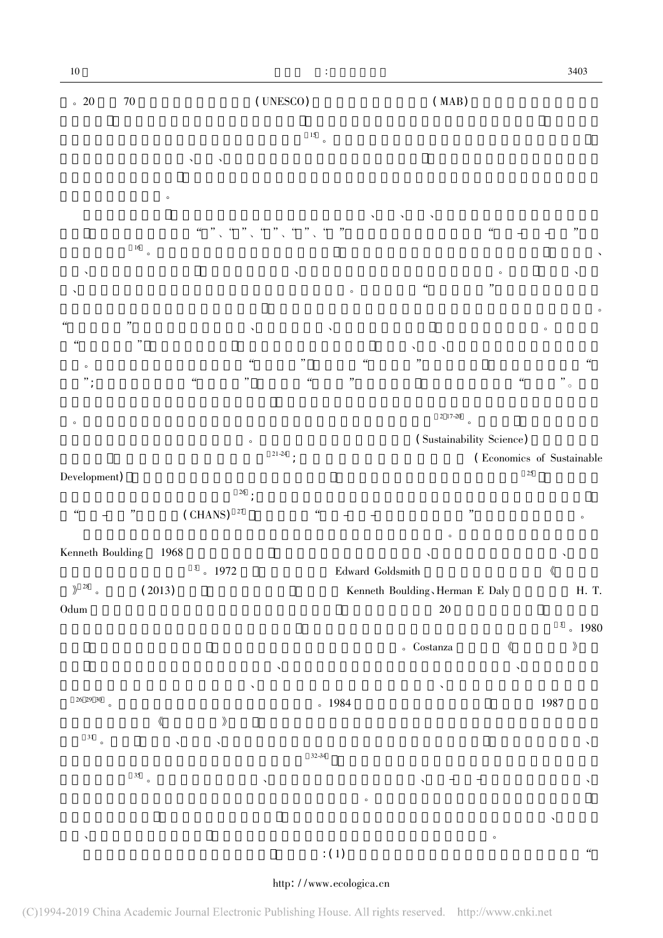

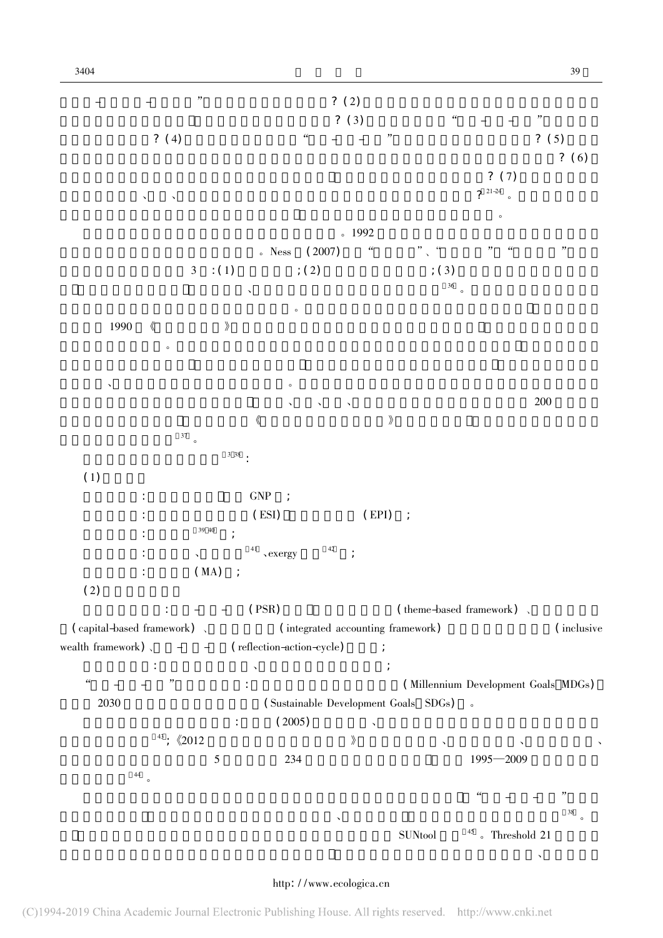

$$
(2) \qquad \qquad
$$

 $(1)$ 

 $\frac{37}{9}$ 

 $\therefore$   $\qquad$   $\qquad$   $\qquad$   $\qquad$   $\qquad$   $\qquad$   $\qquad$   $\qquad$   $\qquad$   $\qquad$   $\qquad$   $\qquad$   $\qquad$   $\qquad$   $\qquad$   $\qquad$   $\qquad$   $\qquad$   $\qquad$   $\qquad$   $\qquad$   $\qquad$   $\qquad$   $\qquad$   $\qquad$   $\qquad$   $\qquad$   $\qquad$   $\qquad$   $\qquad$   $\qquad$   $\qquad$   $\qquad$   $\qquad$   $\qquad$   $\qquad$ ( capital-based framework) (integrated accounting framework) (inclusive wealth framework)  $\sim$  - (reflection-action-cycle)  $\gamma$ 

 $\therefore$   $\qquad \qquad$   $\qquad$   $\qquad$   $\qquad$   $\qquad$   $\qquad$   $\qquad$   $\qquad$   $\qquad$   $\qquad$   $\qquad$   $\qquad$   $\qquad$   $\qquad$   $\qquad$   $\qquad$   $\qquad$   $\qquad$   $\qquad$   $\qquad$   $\qquad$   $\qquad$   $\qquad$   $\qquad$   $\qquad$   $\qquad$   $\qquad$   $\qquad$   $\qquad$   $\qquad$   $\qquad$   $\qquad$   $\qquad$   $\qquad$   $\qquad$   $\$ 

 $\rm (MA)$  ;



#### http: / /www.ecologica.cn

出政策分析的国家尺度可持续发展的系统动力学模型 该模型涉及整个国家可持续发展的经济、社会和环境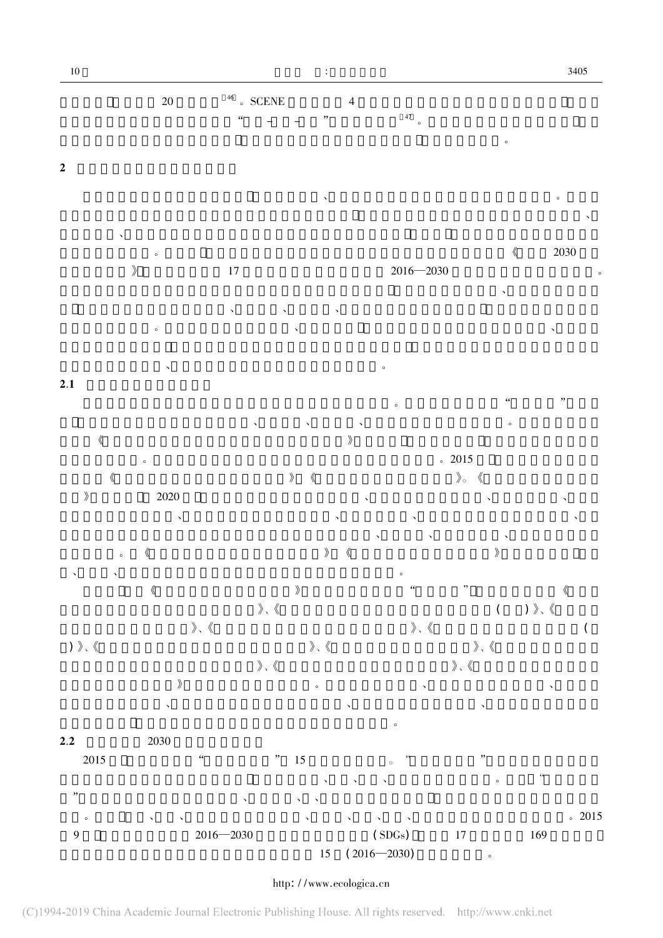

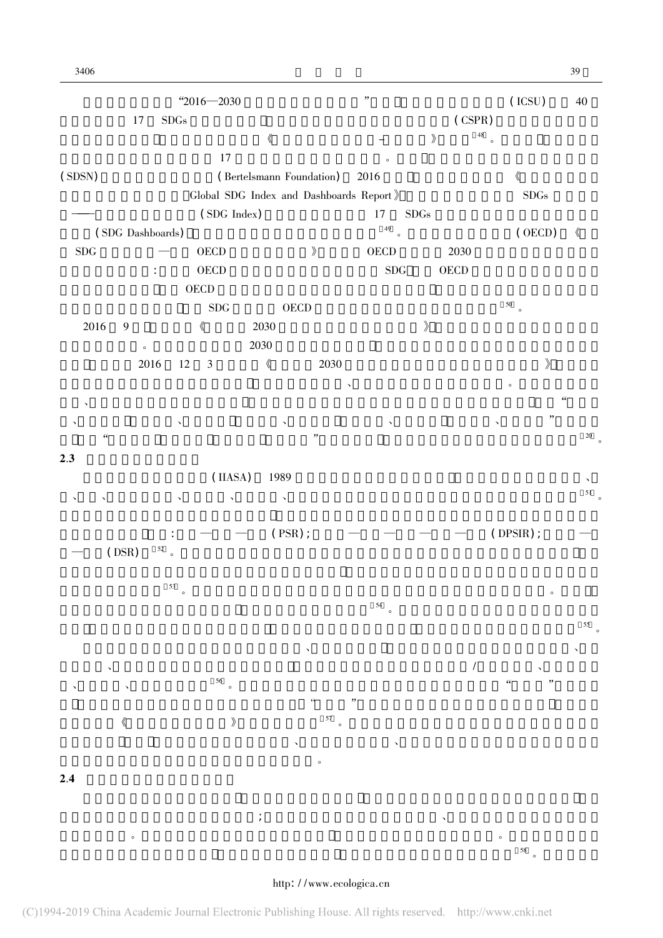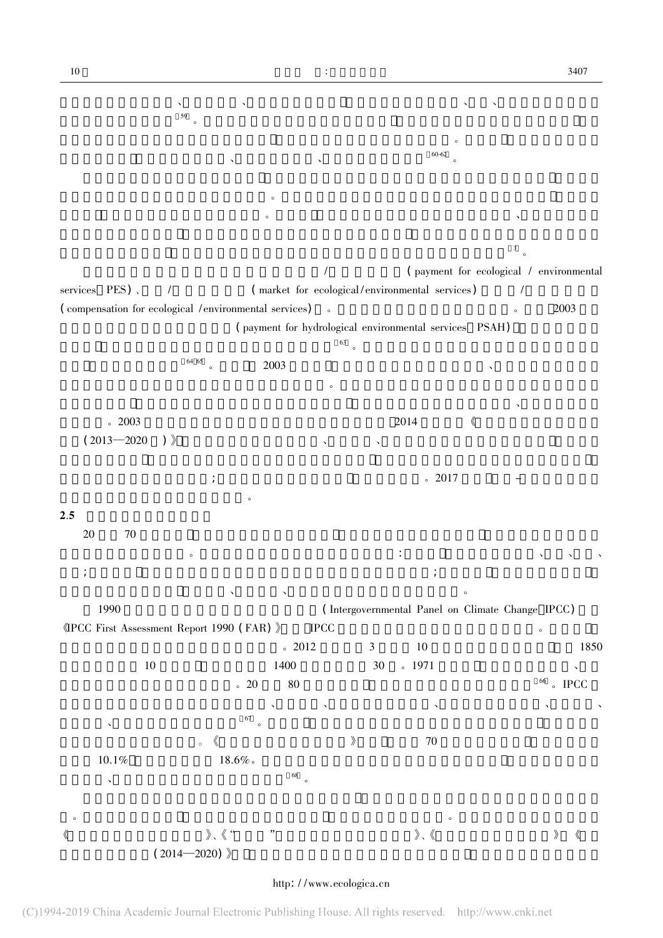态风险具有多风险因子、多风险受体、多评价终点等特点 评价污染物对生物生理、种群、群落和生态系统等不  $\mathcal{L}$  $\bullet$  $\sim$  60-62  $\epsilon$  $\bullet$  $\alpha$  $\frac{3}{\sqrt{2}}$ / (payment for ecological / environmental services PES) / (market for ecological/environmental services) / ( compensation for ecological /environmental services) 。 2003 ( payment for hydrological environmental services PSAH)  $\frac{63}{\circ}$  $\frac{64}{65}$  。 2003 开展了下游受益方对上游保护方的经济补偿试点工作。发源于江西省赣州市的东江是珠三角和香港地区重  $\mathcal{R}$  $\sim 2003$  2014  $\ll$  $(2013 - 2020)$  $\sim 2017$   $\sim$  $2.5$  $20 \t 70$  $\sim$  2012 - 2013 - 2013 - 2014 - 2014 - 2014 - 2014 - 2014 - 2014 - 2014 - 2014 - 2014 - 2014 - 2014 - 2014 - 2014 - 2014 - 2014 - 2014 - 2014 - 2014 - 2014 - 2014 - 2014 - 2014 - 2014 - 2014 - 2014 - 2014 - 2014 - 2014 - $\mathcal{A}$  , and the contract of the contract of the contract of the contract of the contract of the contract of the contract of the contract of the contract of the contract of the contract of the contract of the contract o  $\lambda$ 1990 (Intergovernmental Panel on Climate Change IPCC) «IPCC First Assessment Report 1990 (FAR) » IPCC 2020 PORT 2020 2020 PORT 2020 PORT 2020 PORT 2020 PORT 2020 PORT 2020 PORT 2020 PORT 2020 PORT 2020 PORT 2020 PORT 2020 PORT 2020 PORT 2020 PORT 2020 PORT 2020 PORT 2020 PORT  $\frac{2012}{}$  3  $\frac{10}{}$  10  $\frac{1850}{}$  $10$  1400  $1400$   $30$   $.1971$  $\sim 20$   $80$   $\sim 10$   $\sim 10$   $\sim 10$   $\sim 10$   $\sim 10$   $\sim 10$   $\sim 10$   $\sim 10$   $\sim 10$   $\sim 10$   $\sim 10$   $\sim 10$   $\sim 10$   $\sim 10$   $\sim 10$   $\sim 10$   $\sim 10$   $\sim 10$   $\sim 10$   $\sim 10$   $\sim 10$   $\sim 10$   $\sim 10$   $\sim 10$   $\sim 10$   $\sim 10$   $\mathcal{A}(\mathcal{A})=\mathcal{A}(\mathcal{A})=\mathcal{A}(\mathcal{A})$  $\sim$  67  $\frac{67}{\circ}$  $\sim$  《 $\ll$  70  $\sim$  $10.1\%$   $18.6\%$  .  $\sim$  68  $\degree$  $\circ$  $\langle\!\!\!\langle\,\!\!\!\langle\,\!\!\!\langle\,\!\!\!\langle\,\!\!\!\langle\,\!\!\!\langle\,\!\!\!\langle\,\!\!\!\langle\,\!\!\!\langle\,\!\!\!\langle\,\!\!\!\langle\,\!\!\!\langle\,\!\!\!\langle\,\!\!\!\langle\,\!\!\!\langle\,\!\!\!\langle\,\!\!\!\langle\,\!\!\!\langle\,\!\!\!\langle\,\!\!\!\langle\,\!\!\!\langle\,\!\!\langle\,\!\!\langle\,\!\!\langle\,\!\!\langle\,\!\!\langle\,\!\!\langle\,\!\!\langle\,\!\!\langle\,\!\!\langle\,\!\!\langle\,\!\!\langle\,\!\!\langle\,\!\!\langle\,\!\!\langle\,\!\!\langle\,\!\!\langle\,\!\!\langle\,\!\!\langle\,\!\$  $(2014 - 2020)$ 

http: / /www.ecologica.cn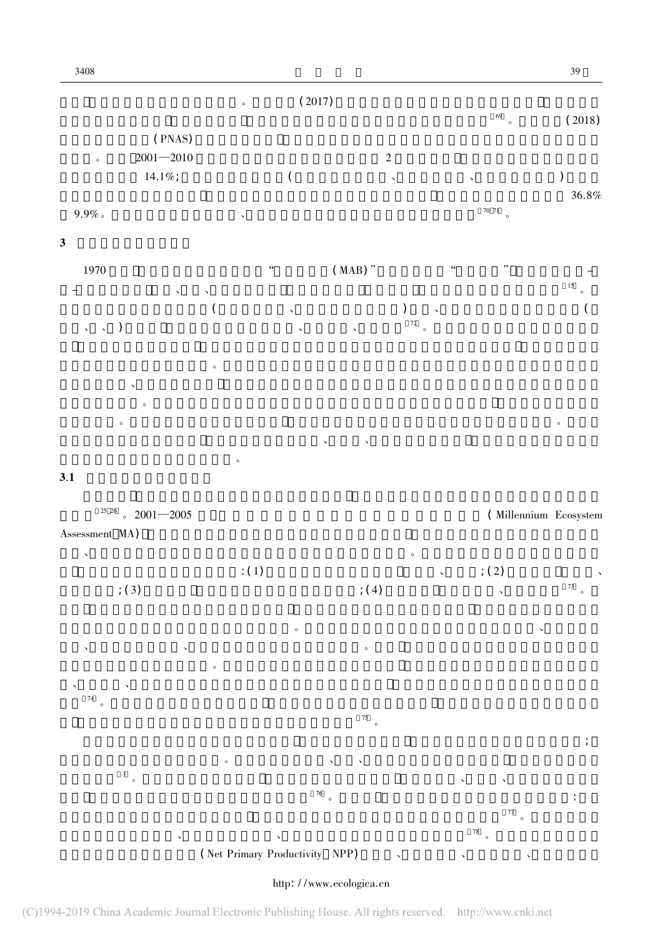

#### $3.1$



#### http: / /www.ecologica.cn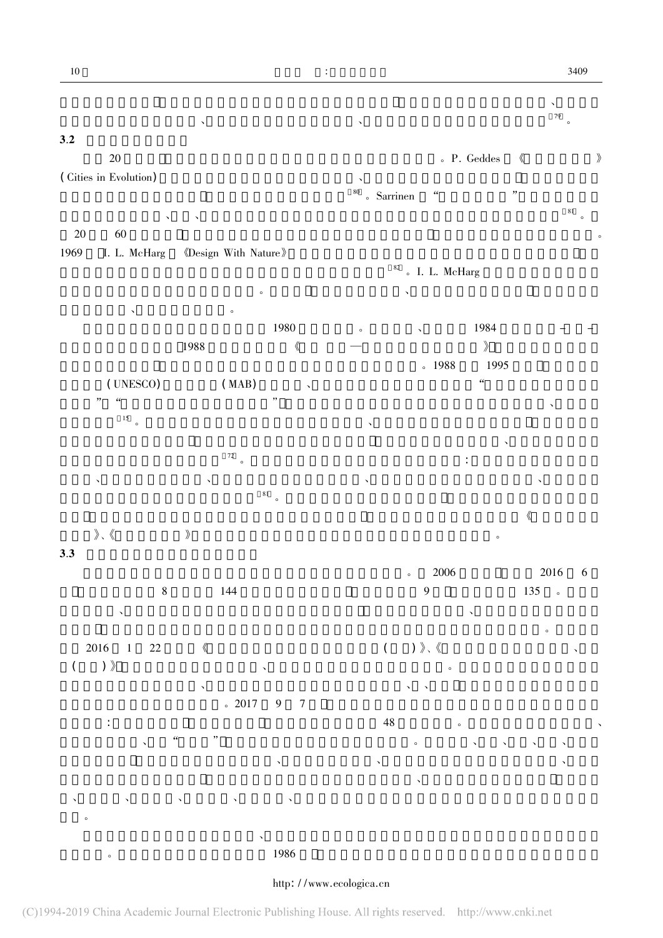法和系统模型法等 但是现阶段生态承载力的研究尚存在一些不足 例如缺乏科学完整的研究体系、承载力阈

### $3.2$

( Cities in Evolution)

#### 1969 I. L. McHarg 《Design With Nature》

影响了后来的城市生态规划研究与实践。近年来 随着地理信息系统、遥感等技术的广泛应用 城市生态规划  $\sim$ 国内关于生态城市规划的研究起源于 1980 年代中后期。自马世骏、王如松于 1984 年提出社会-经济- $1988$   $\ll$  —  $\gg$ 

## ( UNESCO) ( MAB)  $\sim$  $\mathcal{F}_{\mathcal{F}}$  , where  $\mathcal{F}_{\mathcal{F}}$  $\frac{15}{\circ}$ 不同于城市生态环境规划 而是一种综合性的可持续发展规划 规划内容包含了生态环境、生态产业和生态文  $\frac{1}{2}$  , the contract of  $\frac{1}{2}$  and  $\frac{1}{2}$  .

 $81$  。  $\mathcal{R}$  $\gg$  (  $\gg$  )

### $3.3$

 $\mathcal{S}$ 

## $2016$  1 22 《 $\leq$  1 23 and  $\leq$  1 and  $\leq$  1 and  $\leq$  1 and  $\leq$  1 and  $\leq$  1 and  $\leq$  1 and  $\leq$  1 and  $\leq$  1 and  $\leq$  1 and  $\leq$  1 and  $\leq$  1 and  $\leq$  1 and  $\leq$  1 and  $\leq$  1 and  $\leq$  1 and  $\leq$  1 and  $(\hspace{7mm})$  》 $\hspace{7mm}$   $\hspace{7mm}$   $\hspace{7mm}$   $\hspace{7mm}$   $\hspace{7mm}$   $\hspace{7mm}$   $\hspace{7mm}$   $\hspace{7mm}$   $\hspace{7mm}$   $\hspace{7mm}$   $\hspace{7mm}$   $\hspace{7mm}$   $\hspace{7mm}$   $\hspace{7mm}$   $\hspace{7mm}$   $\hspace{7mm}$   $\hspace{7mm}$   $\hspace{7mm}$   $\hspace{7mm}$   $\hspace{7mm}$   $\hspace{7mm}$

 $\mathcal{S}$  , and the set of the set of the set of the set of the set of the set of the set of the set of the set of the set of the set of the set of the set of the set of the set of the set of the set of the set of the set  $\sqrt{2017}$  9 7  $\sim$  1. He can construct the construction of  $48$   $\sim$   $\sim$   $\sim$  $\sim$  6  $\mu$  6  $\mu$  6  $\mu$  6  $\mu$  6  $\mu$  6  $\mu$  6  $\mu$ 五项发展理念 围绕优化国土空间开发格局、全面促进资源节约、加大自然生态系统和环境保护力度、加强生  $\sim$  $\lambda$ 内容。  $\sim$ 

 $\sim$  1986  $\sim$ 

 $\sim$  79  $\epsilon$  $20$   $\blacksquare$  P. Geddes 《 $\blacksquare$  $\frac{80}{\pi}$  Sarrinen  $\frac{40}{\pi}$  Sarrinen  $\frac{40}{\pi}$ 

## $\sim$  31  $\,$  $20 \t 60$

### $82$  。I. L. McHarg

 $\sim$  1988  $\sim$  1995

 $\lambda$ 

# $\sim 2006$  2016 6  $8 \t 144$  9  $135$  。  $\mathcal{R}_{\text{eff}}$

#### http: / /www.ecologica.cn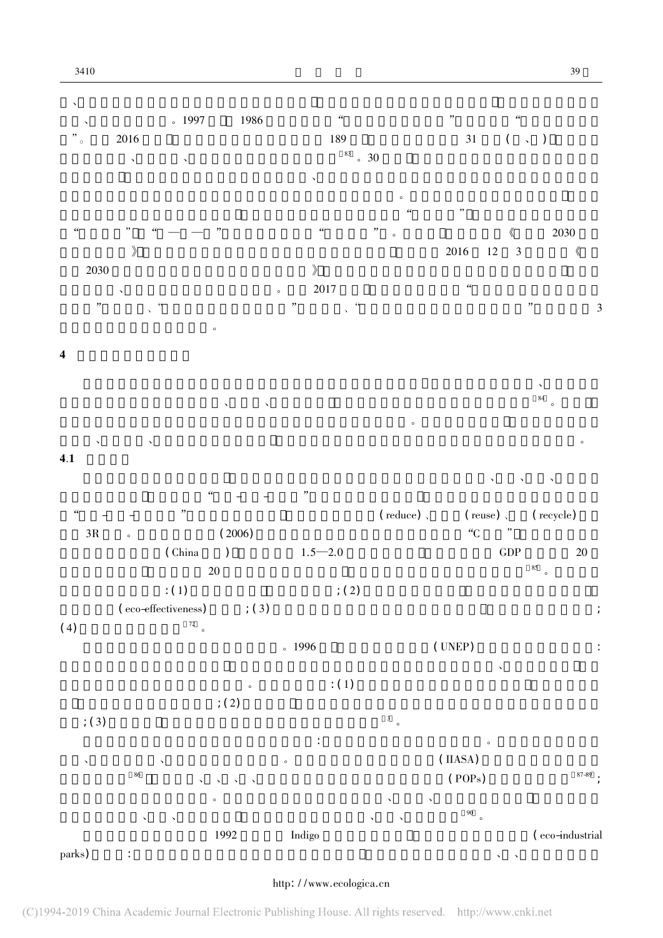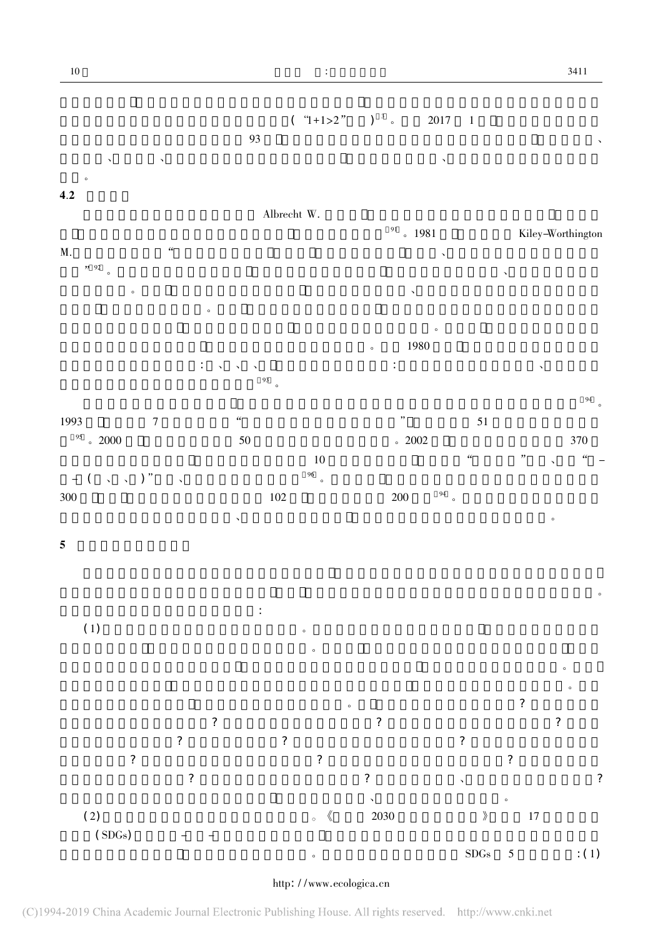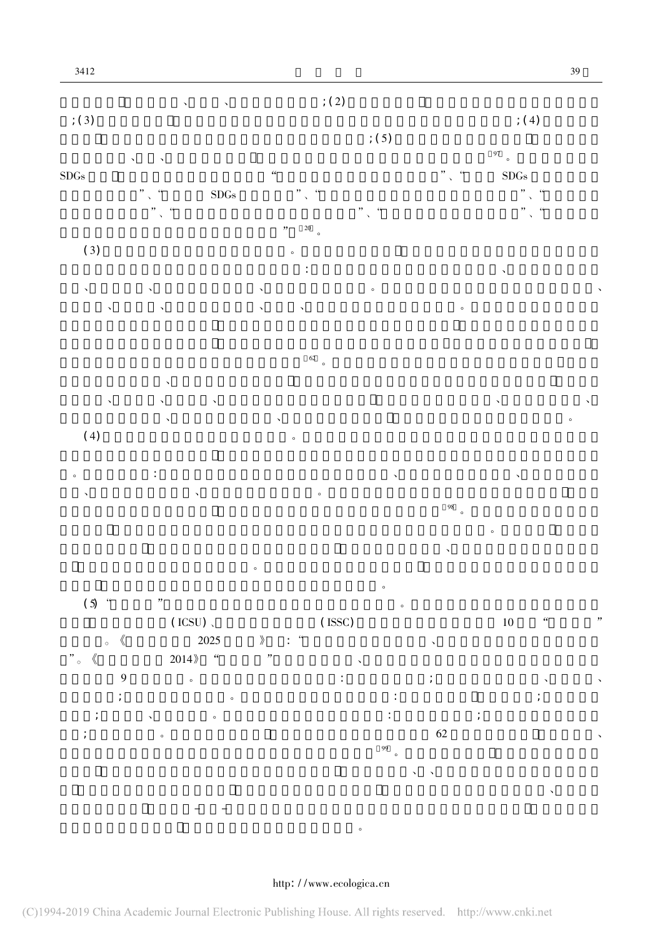





 $\ddot{\rm c}$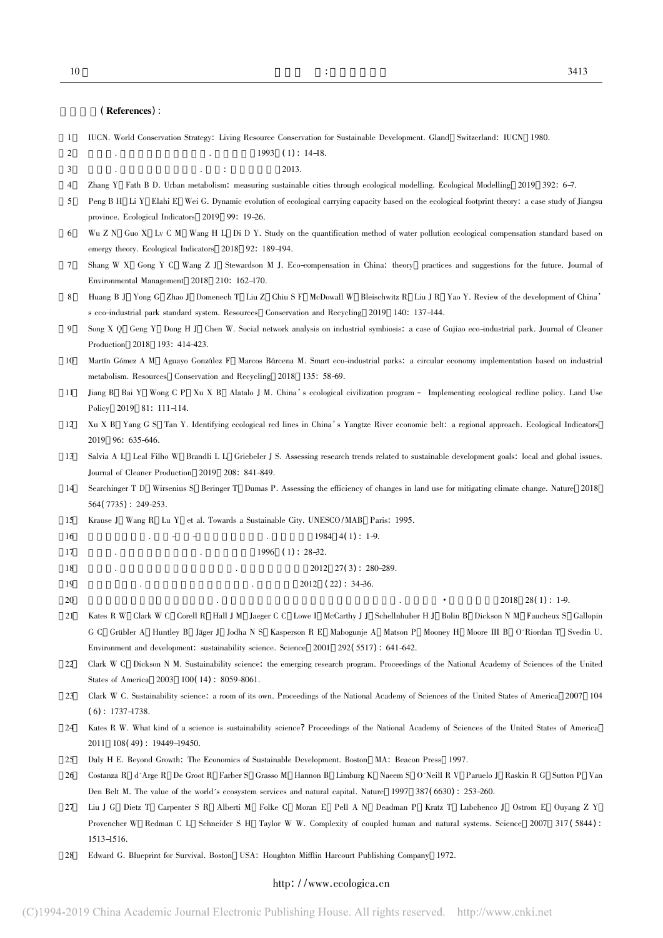- 1 IUCN. World Conservation Strategy: Living Resource Conservation for Sustainable Development. Gland Switzerland: IUCN 1980.
- 2 吕永龙. 国外持续发展研究概况. 生态经济 1993,( 1) : 14-18.
- $3 \t\t\t 2013.$
- 4 Zhang Y Fath B D. Urban metabolism: measuring sustainable cities through ecological modelling. Ecological Modelling 2019 392: 6-7.
- 5 Peng B H Li Y Elahi E Wei G. Dynamic evolution of ecological carrying capacity based on the ecological footprint theory: a case study of Jiangsu province. Ecological Indicators 2019 99: 19-26.
- 6 Wu Z N Guo X Lv C M Wang H L Di D Y. Study on the quantification method of water pollution ecological compensation standard based on emergy theory. Ecological Indicators 2018 92: 189-194.
- 7 Shang W X Gong Y C Wang Z J Stewardson M J. Eco-compensation in China: theory practices and suggestions for the future. Journal of Environmental Management 2018 210: 162-170.
- 8 Huang B J Yong G Zhao J Domenech T Liu Z Chiu S F McDowall W Bleischwitz R Liu J R Yao Y. Review of the development of China' s eco-industrial park standard system. Resources Conservation and Recycling 2019 140: 137-144.
- 9 Song X Q Geng Y Dong H J Chen W. Social network analysis on industrial symbiosis: a case of Gujiao eco-industrial park. Journal of Cleaner Production 2018 193: 414-423.
- 10 Martín Gómez A M Aguayo González F Marcos Bárcena M. Smart eco-industrial parks: a circular economy implementation based on industrial metabolism. Resources Conservation and Recycling 2018 135: 58-69.
- 11 Jiang B Bai Y Wong C P Xu X B Alatalo J M. China's ecological civilization program Implementing ecological redline policy. Land Use Policy 2019 81: 111-114.
- 12 Xu X B Yang G S Tan Y. Identifying ecological red lines in China's Yangtze River economic belt: a regional approach. Ecological Indicators 2019 96: 635-646.
- 13 Salvia A L Leal Filho W Brandli L L Griebeler J S. Assessing research trends related to sustainable development goals: local and global issues. Journal of Cleaner Production 2019 208: 841-849.
- 14 Searchinger T D Wirsenius S Beringer T Dumas P. Assessing the efficiency of changes in land use for mitigating climate change. Nature 2018 564( 7735) : 249-253.
- 15 Krause J Wang R Lu Y et al. Towards a Sustainable City. UNESCO/MAB Paris: 1995.

 $16 \qquad - \qquad - \qquad 1984 \quad 4(1) \quad 1-9.$ 

 $17$  and  $1996$  (1) :  $28-32$ .

18 牛文元. 中国可持续发展的理论与实践. 中国科学院院刊 2012 27( 3) : 280-289.

19  $2012$   $(22)$  : 34-36.

 $20$  2018  $28(1)$ : 1-9.

21 Kates R W Clark W C Corell R Hall J M Jaeger C C Lowe I McCarthy J J Schellnhuber H J Bolin B Dickson N M Faucheux S Gallopin G C Grübler A Huntley B Jäger J Jodha N S Kasperson R E Mabogunje A Matson P Mooney H Moore III B O'Riordan T Svedin U. Environment and development: sustainability science. Science 2001 292( 5517) : 641-642.

22 Clark W C Dickson N M. Sustainability science: the emerging research program. Proceedings of the National Academy of Sciences of the United States of America 2003 100( 14) : 8059-8061.

- 23 Clark W C. Sustainability science: a room of its own. Proceedings of the National Academy of Sciences of the United States of America 2007 104  $(6)$ : 1737-1738.
- 24 Kates R W. What kind of a science is sustainability science? Proceedings of the National Academy of Sciences of the United States of America 2011 108( 49) : 19449-19450.
- 25 Daly H E. Beyond Growth: The Economics of Sustainable Development. Boston MA: Beacon Press 1997.
- 26 Costanza R d'Arge R De Groot R Farber S Grasso M Hannon B Limburg K Naeem S O'Neill R V Paruelo J Raskin R G Sutton P Van Den Belt M. The value of the world's ecosystem services and natural capital. Nature 1997 387( 6630) : 253-260.
- 27 Liu J G Dietz T Carpenter S R Alberti M Folke C Moran E Pell A N Deadman P Kratz T Lubchenco J Ostrom E Ouyang Z Y Provencher W Redman C L Schneider S H Taylor W W. Complexity of coupled human and natural systems. Science 2007 317 (5844): 1513-1516.
- 28 Edward G. Blueprint for Survival. Boston USA: Houghton Mifflin Harcourt Publishing Company 1972.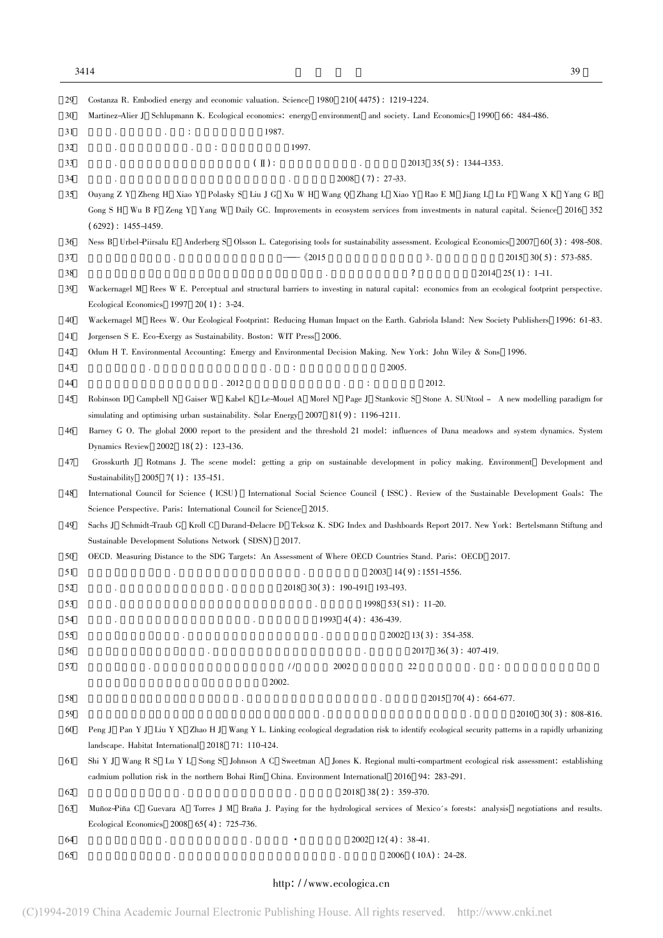| 29       | Costanza R. Embodied energy and economic valuation. Science 1980 210(4475): 1219–1224.                                                                                                                          |
|----------|-----------------------------------------------------------------------------------------------------------------------------------------------------------------------------------------------------------------|
| 30       | Martinez-Alier J Schlupmann K. Ecological economics: energy environment and society. Land Economics 1990 66: 484-486.                                                                                           |
| 31       | 1987.<br>$\epsilon$                                                                                                                                                                                             |
| 32       | 1997.                                                                                                                                                                                                           |
| 33       | $(\mathbb{I})$ :<br>$2013 \quad 35(5): 1344 - 1353.$                                                                                                                                                            |
| 34       | $2008$ (7): $27-33$ .                                                                                                                                                                                           |
| 35       | Ouyang Z Y Zheng H Xiao Y Polasky S Liu J G Xu W H Wang Q Zhang L Xiao Y Rao E M Jiang L Lu F Wang X K Yang G B                                                                                                 |
|          | Gong S H Wu B F Zeng Y Yang W Daily GC. Improvements in ecosystem services from investments in natural capital. Science 2016 352<br>$(6292): 1455 - 1459.$                                                      |
| 36<br>37 | Ness B Urbel-Piirsalu E Anderberg S Olsson L. Categorising tools for sustainability assessment. Ecological Economics 2007 60(3): 498-508.<br>$ \&2015$<br>$\rangle\!\rangle$ .<br>$2015 \quad 30(5) : 573-585.$ |
| 38       | $\overline{\phantom{a}}$<br>$2014$ $25(1)$ : $1-11$ .                                                                                                                                                           |
|          |                                                                                                                                                                                                                 |
| 39       | Wackernagel M Rees W E. Perceptual and structural barriers to investing in natural capital: economics from an ecological footprint perspective.                                                                 |
|          | Ecological Economics $1997 \quad 20(1) : 3-24.$                                                                                                                                                                 |
| 40       | Wackernagel M Rees W. Our Ecological Footprint: Reducing Human Impact on the Earth. Gabriola Island: New Society Publishers 1996: 61-83.                                                                        |
| 41       | Jorgensen S E. Eco-Exergy as Sustainability. Boston: WIT Press 2006.                                                                                                                                            |
| 42       | Odum H T. Environmental Accounting. Emergy and Environmental Decision Making. New York: John Wiley & Sons 1996.                                                                                                 |
| 43       | 2005.                                                                                                                                                                                                           |
| 44       | .2012<br>2012.                                                                                                                                                                                                  |
| 45       | Robinson D Campbell N Gaiser W Kabel K Le-Mouel A Morel N Page J Stankovic S Stone A. SUNtool - A new modelling paradigm for                                                                                    |
|          | simulating and optimising urban sustainability. Solar Energy $200781(9)$ : 1196-1211.                                                                                                                           |
| 46       | Barney G O. The global 2000 report to the president and the threshold 21 model: influences of Dana meadows and system dynamics. System                                                                          |
|          | Dynamics Review 2002 18(2): 123-136.                                                                                                                                                                            |
| 47       | Grosskurth J Rotmans J. The scene model: getting a grip on sustainable development in policy making. Environment Development and                                                                                |
|          | Sustainability 2005 7(1): 135-151.                                                                                                                                                                              |
| 48       | International Council for Science (ICSU) International Social Science Council (ISSC). Review of the Sustainable Development Goals: The                                                                          |
|          | Science Perspective. Paris: International Council for Science 2015.                                                                                                                                             |
| 49       | Sachs J Schmidt-Traub G Kroll C Durand-Delacre D Teksoz K. SDG Index and Dashboards Report 2017. New York: Bertelsmann Stiftung and                                                                             |
|          | Sustainable Development Solutions Network (SDSN) 2017.                                                                                                                                                          |
| 50       | OECD. Measuring Distance to the SDG Targets. An Assessment of Where OECD Countries Stand. Paris: OECD 2017.                                                                                                     |
| 51       | $2003 \quad 14(9) \cdot 1551 - 1556.$                                                                                                                                                                           |
| 52       | 2018 30(3): 190-191 193-193.                                                                                                                                                                                    |
| 53       | 1998 53(S1): 11-20.                                                                                                                                                                                             |
| 54       | $1993 \quad 4(4): 436-439.$                                                                                                                                                                                     |
| 55       | $2002 \quad 13(3): 354-358.$                                                                                                                                                                                    |
| 56       | $2017 \quad 36(3): 407-419.$                                                                                                                                                                                    |
| 57       | $\frac{1}{2}$<br>2002<br>22                                                                                                                                                                                     |
|          | 2002.                                                                                                                                                                                                           |
| 58       | $2015 \quad 70(4): 664-677.$                                                                                                                                                                                    |
| 59       | $2010 \quad 30(3) : 808 - 816.$                                                                                                                                                                                 |
| 60       | Peng J Pan Y J Liu Y X Zhao H J Wang Y L. Linking ecological degradation risk to identify ecological security patterns in a rapidly urbanizing                                                                  |
|          | landscape. Habitat International 2018 71: 110-124.                                                                                                                                                              |
| 61       | Shi Y J Wang R S Lu Y L Song S Johnson A C Sweetman A Jones K. Regional multi-compartment ecological risk assessment: establishing                                                                              |
|          | cadmium pollution risk in the northern Bohai Rim China. Environment International 2016 94: 283-291.                                                                                                             |
| 62       | $2018$ 38(2): 359-370.                                                                                                                                                                                          |
| 63       | Muñoz-Piña C Guevara A Torres J M Braña J. Paying for the hydrological services of Mexico's forests: analysis negotiations and results.                                                                         |
|          | Ecological Economics 2008 65(4): 725–736.                                                                                                                                                                       |
| 64       | $2002 \quad 12(4): 38-41.$                                                                                                                                                                                      |
| 65       | $2006$ (10A): $24-28$ .                                                                                                                                                                                         |
|          |                                                                                                                                                                                                                 |